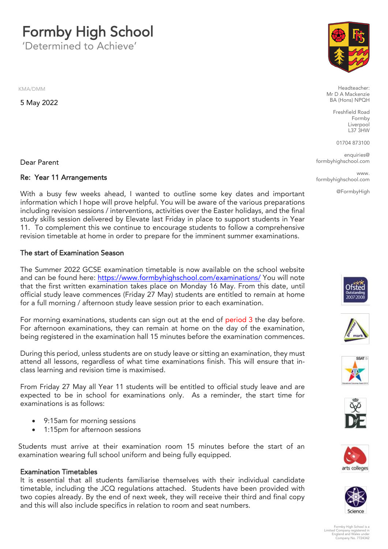**Formby High School**<br>Determined to Achieve'

'Determined to Achieve'

KMA/DMM

5 May 2022

Dear Parent

### Re: Year 11 Arrangements

With a busy few weeks ahead, I wanted to outline some key dates and important information which I hope will prove helpful. You will be aware of the various preparations including revision sessions / interventions, activities over the Easter holidays, and the final study skills session delivered by Elevate last Friday in place to support students in Year 11. To complement this we continue to encourage students to follow a comprehensive revision timetable at home in order to prepare for the imminent summer examinations revision timetable at home in order to prepare for the imminent summer examinations.

#### The start of Examination Season The start of Examination Season

The Summer 2022 GCSE examination timetable is now available on the school website and can be found here: https://www.formbyhighschool.com/examinations/ You will note that the first written examination takes place on Monday 16 May. From this date, until official study leave commences (Friday 27 May) students are entitled to remain at home  $\frac{1}{2}$  for a full morning / afternoon study leave session prior to each examination for a full morning / afternoon study leave session prior to each examination.

For morning examinations, students can sign out at the end of period 3 the day before.<br>For afternoon examinations, they can remain at home on the day of the examination,  $\frac{1}{2}$  for a remain theory can remain at  $\frac{1}{2}$  for  $\frac{1}{2}$  remain  $\frac{1}{2}$  for  $\frac{1}{2}$  for  $\frac{1}{2}$  for  $\frac{1}{2}$  for  $\frac{1}{2}$  for  $\frac{1}{2}$  for  $\frac{1}{2}$  for  $\frac{1}{2}$  for  $\frac{1}{2}$  for  $\frac{1}{2}$  for  $\frac{1}{$ being registered in the examination hall 15 minutes before the examination commences.

During this period, unless students are on study leave or sitting an examination, they must attend all lessons, regardless of what time examinations finish. This will ensure that inclass learning and revision time is maximised. class learning and revision time is maximised.

From Friday 27 May all Year 11 students will be entitled to official study leave and are expected to be in school for examinations only. As a reminder, the start time for examinations is as follows:

- 9:15am for morning sessions<br>• 1:15pm for afternoon session
- 1:15pm for afternoon sessions

Students must arrive at their examination room 15 minutes before the start of an examination wearing full school uniform and being fully equipped. examination wearing full school uniform and being fully equipped.

#### **Examination Timetables**

It is essential that all students familiarise themselves with their individual candidate timetable, including the JCQ regulations attached. Students have been provided with two copies already. By the end of next week, they will receive their third and final copy and this will also include specifics in relation to room and seat numbers. and this will also include specifics in relation to room and seat numbers.



Headteacher:<br>Mr D A Mackenzie RA (Hons) NPOH  $\mathbf{A} \rightarrow \mathbf{B}$ 

> Freshfield Road Liverpool L37 3HW

01704 873100

enquiries@<br>school.com formbyhighschool.com

**WWW** l com formbyhighschool.com

@FormbyHigh













Formby High School is a Limited Company registered in England and Wales under Company No. 7724342